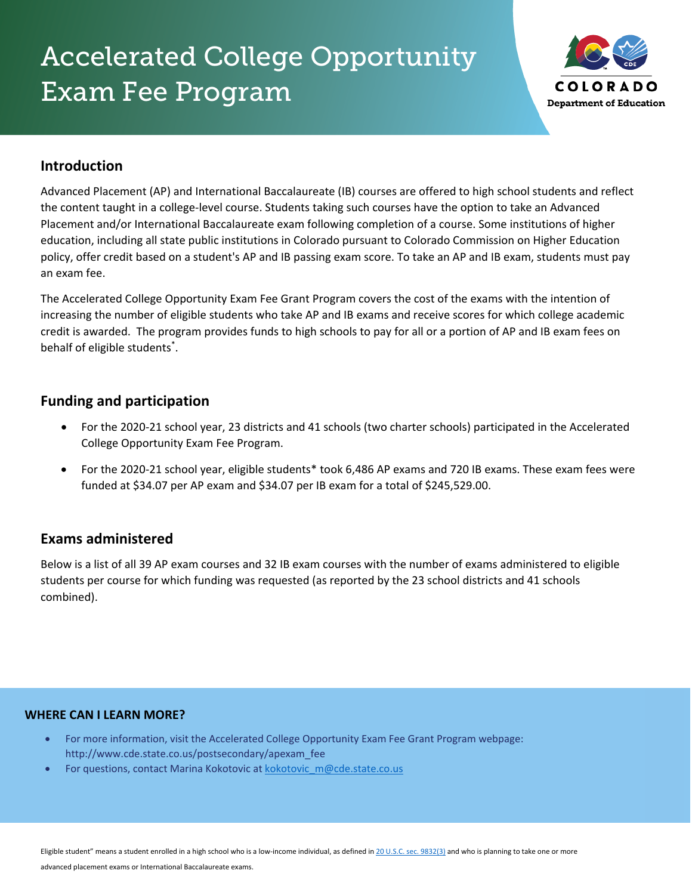# Accelerated College Opportunity Exam Fee Program



### **Introduction**

Advanced Placement (AP) and International Baccalaureate (IB) courses are offered to high school students and reflect the content taught in a college-level course. Students taking such courses have the option to take an Advanced Placement and/or International Baccalaureate exam following completion of a course. Some institutions of higher education, including all state public institutions in Colorado pursuant to Colorado Commission on Higher Education policy, offer credit based on a student's AP and IB passing exam score. To take an AP and IB exam, students must pay an exam fee.

The Accelerated College Opportunity Exam Fee Grant Program covers the cost of the exams with the intention of increasing the number of eligible students who take AP and IB exams and receive scores for which college academic credit is awarded. The program provides funds to high schools to pay for all or a portion of AP and IB exam fees on behalf of eligible students<sup>\*</sup>.

#### **Funding and participation**

- For the 2020-21 school year, 23 districts and 41 schools (two charter schools) participated in the Accelerated College Opportunity Exam Fee Program.
- For the 2020-21 school year, eligible students\* took 6,486 AP exams and 720 IB exams. These exam fees were funded at \$34.07 per AP exam and \$34.07 per IB exam for a total of \$245,529.00.

#### **Exams administered**

Below is a list of all 39 AP exam courses and 32 IB exam courses with the number of exams administered to eligible students per course for which funding was requested (as reported by the 23 school districts and 41 schools combined).

#### **WHERE CAN I LEARN MORE?**

- For more information, visit the Accelerated College Opportunity Exam Fee Grant Program webpage: http://www.cde.state.co.us/postsecondary/apexam\_fee
- For questions, contact Marina Kokotovic at kokotovic m@cde.state.co.us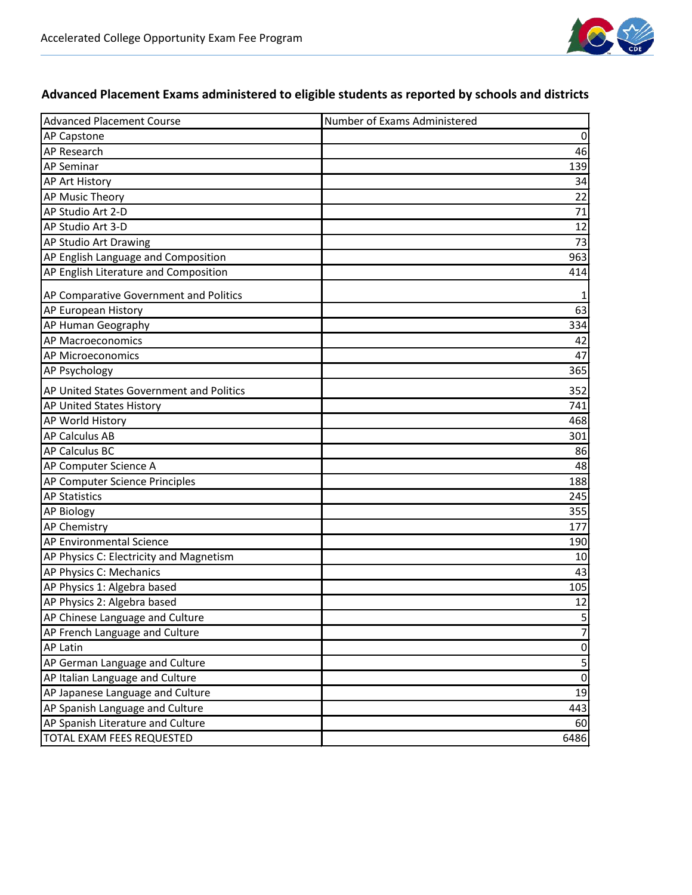

### **Advanced Placement Exams administered to eligible students as reported by schools and districts**

| <b>Advanced Placement Course</b>         | Number of Exams Administered |
|------------------------------------------|------------------------------|
| <b>AP Capstone</b>                       | 0                            |
| AP Research                              | 46                           |
| <b>AP Seminar</b>                        | 139                          |
| AP Art History                           | 34                           |
| AP Music Theory                          | 22                           |
| AP Studio Art 2-D                        | 71                           |
| AP Studio Art 3-D                        | 12                           |
| AP Studio Art Drawing                    | 73                           |
| AP English Language and Composition      | 963                          |
| AP English Literature and Composition    | 414                          |
| AP Comparative Government and Politics   |                              |
| AP European History                      | 63                           |
| AP Human Geography                       | 334                          |
| AP Macroeconomics                        | 42                           |
| AP Microeconomics                        | 47                           |
| AP Psychology                            | 365                          |
| AP United States Government and Politics | 352                          |
| AP United States History                 | 741                          |
| AP World History                         | 468                          |
| <b>AP Calculus AB</b>                    | 301                          |
| <b>AP Calculus BC</b>                    | 86                           |
| AP Computer Science A                    | 48                           |
| AP Computer Science Principles           | 188                          |
| <b>AP Statistics</b>                     | 245                          |
| <b>AP Biology</b>                        | 355                          |
| <b>AP Chemistry</b>                      | 177                          |
| AP Environmental Science                 | 190                          |
| AP Physics C: Electricity and Magnetism  | 10                           |
| AP Physics C: Mechanics                  | 43                           |
| AP Physics 1: Algebra based              | 105                          |
| AP Physics 2: Algebra based              | 12                           |
| AP Chinese Language and Culture          | 5                            |
| AP French Language and Culture           | 7                            |
| <b>AP Latin</b>                          | $\pmb{0}$                    |
| AP German Language and Culture           | 5                            |
| AP Italian Language and Culture          | $\pmb{0}$                    |
| AP Japanese Language and Culture         | 19                           |
| AP Spanish Language and Culture          | 443                          |
| AP Spanish Literature and Culture        | 60                           |
| TOTAL EXAM FEES REQUESTED                | 6486                         |